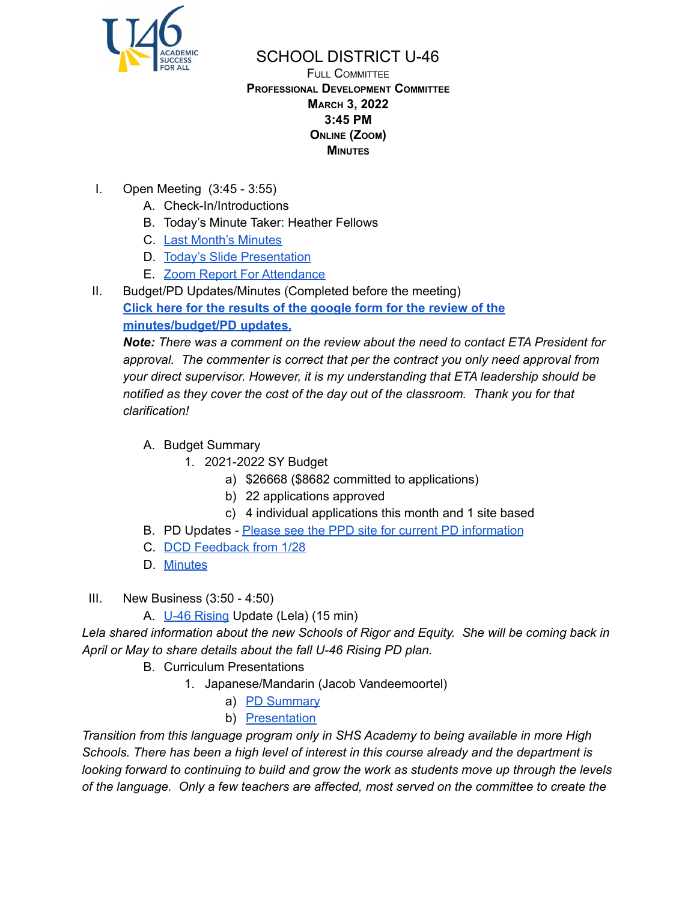

## SCHOOL DISTRICT U-46

FULL COMMITTEE **PROFESSIONAL DEVELOPMENT COMMITTEE MARCH 3, 2022 3:45 PM ONLINE (ZOOM) MINUTES**

- I. Open Meeting (3:45 3:55)
	- A. Check-In/Introductions
	- B. Today's Minute Taker: Heather Fellows
	- C. Last Month's [Minutes](https://www.u-46.org/site/handlers/filedownload.ashx?moduleinstanceid=40057&dataid=68321&FileName=2-3-22%20Minutes%20PD%20FC.pdf)
	- D. Today's Slide [Presentation](https://docs.google.com/presentation/d/1-Ytnrr6VgK3i0DGlojsJhOuPirKuFAUPE4oTIy-rl30/edit?usp=sharing)
	- E. Zoom Report For [Attendance](https://docs.google.com/spreadsheets/d/1oNqQNQfcaf0_5olVm8xqCZ8zow4kBrUC/edit?usp=sharing&ouid=114155932067581146592&rtpof=true&sd=true)
- II. Budget/PD Updates/Minutes (Completed before the meeting)

**Click here for the [results](https://docs.google.com/forms/d/13WaBLO_rz9TVEh0_bjIAp3Qv2SQGj15q5xJKe2tSeKc/viewanalytics) of the google form for the review of the [minutes/budget/PD](https://docs.google.com/forms/d/13WaBLO_rz9TVEh0_bjIAp3Qv2SQGj15q5xJKe2tSeKc/viewanalytics) updates.**

*Note: There was a comment on the review about the need to contact ETA President for approval. The commenter is correct that per the contract you only need approval from your direct supervisor. However, it is my understanding that ETA leadership should be notified as they cover the cost of the day out of the classroom. Thank you for that clarification!*

A. Budget Summary

- 1. 2021-2022 SY Budget
	- a) \$26668 (\$8682 committed to applications)
	- b) 22 applications approved
	- c) 4 individual applications this month and 1 site based
- B. PD Updates Please see the PPD site for current PD [information](https://sites.google.com/u-46.org/2022-3-4-ppd/home)
- C. DCD [Feedback](https://sites.google.com/u-46.org/128-dcd-summary/home) from 1/28
- D. [Minutes](https://www.u-46.org/site/handlers/filedownload.ashx?moduleinstanceid=40057&dataid=67667&FileName=1-6-22%20Minutes%20PD%20FC.pdf)
- III. New Business (3:50 4:50)
	- A. U-46 [Rising](https://www.u-46.org/domain/11581) Update (Lela) (15 min)

*Lela shared information about the new Schools of Rigor and Equity. She will be coming back in April or May to share details about the fall U-46 Rising PD plan.*

- B. Curriculum Presentations
	- 1. Japanese/Mandarin (Jacob Vandeemoortel)
		- a) PD [Summary](https://docs.google.com/document/d/1cNR5dasm97nm45gyMn3O479WjTd28awJ8Gj5veCICfk/edit?usp=sharing)
		- b) [Presentation](https://docs.google.com/presentation/d/109elKcb632PVPoImtMZH5RiF14pUPP1c/edit?usp=sharing&ouid=114155932067581146592&rtpof=true&sd=true)

*Transition from this language program only in SHS Academy to being available in more High Schools. There has been a high level of interest in this course already and the department is looking forward to continuing to build and grow the work as students move up through the levels of the language. Only a few teachers are affected, most served on the committee to create the*